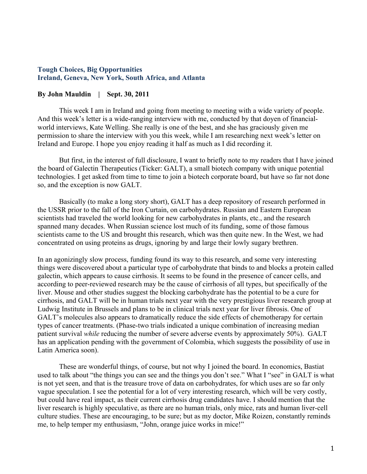#### **Tough Choices, Big Opportunities Ireland, Geneva, New York, South Africa, and Atlanta**

#### **By John Mauldin | Sept. 30, 2011**

This week I am in Ireland and going from meeting to meeting with a wide variety of people. And this week's letter is a wide-ranging interview with me, conducted by that doyen of financialworld interviews, Kate Welling. She really is one of the best, and she has graciously given me permission to share the interview with you this week, while I am researching next week's letter on Ireland and Europe. I hope you enjoy reading it half as much as I did recording it.

But first, in the interest of full disclosure, I want to briefly note to my readers that I have joined the board of Galectin Therapeutics (Ticker: GALT), a small biotech company with unique potential technologies. I get asked from time to time to join a biotech corporate board, but have so far not done so, and the exception is now GALT.

Basically (to make a long story short), GALT has a deep repository of research performed in the USSR prior to the fall of the Iron Curtain, on carbohydrates. Russian and Eastern European scientists had traveled the world looking for new carbohydrates in plants, etc., and the research spanned many decades. When Russian science lost much of its funding, some of those famous scientists came to the US and brought this research, which was then quite new. In the West, we had concentrated on using proteins as drugs, ignoring by and large their lowly sugary brethren.

In an agonizingly slow process, funding found its way to this research, and some very interesting things were discovered about a particular type of carbohydrate that binds to and blocks a protein called galectin, which appears to cause cirrhosis. It seems to be found in the presence of cancer cells, and according to peer-reviewed research may be the cause of cirrhosis of all types, but specifically of the liver. Mouse and other studies suggest the blocking carbohydrate has the potential to be a cure for cirrhosis, and GALT will be in human trials next year with the very prestigious liver research group at Ludwig Institute in Brussels and plans to be in clinical trials next year for liver fibrosis. One of GALT's molecules also appears to dramatically reduce the side effects of chemotherapy for certain types of cancer treatments. (Phase-two trials indicated a unique combination of increasing median patient survival *while* reducing the number of severe adverse events by approximately 50%). GALT has an application pending with the government of Colombia, which suggests the possibility of use in Latin America soon).

These are wonderful things, of course, but not why I joined the board. In economics, Bastiat used to talk about "the things you can see and the things you don't see." What I "see" in GALT is what is not yet seen, and that is the treasure trove of data on carbohydrates, for which uses are so far only vague speculation. I see the potential for a lot of very interesting research, which will be very costly, but could have real impact, as their current cirrhosis drug candidates have. I should mention that the liver research is highly speculative, as there are no human trials, only mice, rats and human liver-cell culture studies. These are encouraging, to be sure; but as my doctor, Mike Roizen, constantly reminds me, to help temper my enthusiasm, "John, orange juice works in mice!"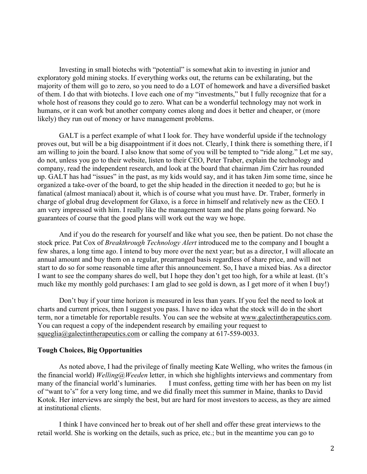Investing in small biotechs with "potential" is somewhat akin to investing in junior and exploratory gold mining stocks. If everything works out, the returns can be exhilarating, but the majority of them will go to zero, so you need to do a LOT of homework and have a diversified basket of them. I do that with biotechs. I love each one of my "investments," but I fully recognize that for a whole host of reasons they could go to zero. What can be a wonderful technology may not work in humans, or it can work but another company comes along and does it better and cheaper, or (more likely) they run out of money or have management problems.

GALT is a perfect example of what I look for. They have wonderful upside if the technology proves out, but will be a big disappointment if it does not. Clearly, I think there is something there, if I am willing to join the board. I also know that some of you will be tempted to "ride along." Let me say, do not, unless you go to their website, listen to their CEO, Peter Traber, explain the technology and company, read the independent research, and look at the board that chairman Jim Czirr has rounded up. GALT has had "issues" in the past, as my kids would say, and it has taken Jim some time, since he organized a take-over of the board, to get the ship headed in the direction it needed to go; but he is fanatical (almost maniacal) about it, which is of course what you must have. Dr. Traber, formerly in charge of global drug development for Glaxo, is a force in himself and relatively new as the CEO. I am very impressed with him. I really like the management team and the plans going forward. No guarantees of course that the good plans will work out the way we hope.

And if you do the research for yourself and like what you see, then be patient. Do not chase the stock price. Pat Cox of *Breakthrough Technology Alert* introduced me to the company and I bought a few shares, a long time ago. I intend to buy more over the next year; but as a director, I will allocate an annual amount and buy them on a regular, prearranged basis regardless of share price, and will not start to do so for some reasonable time after this announcement. So, I have a mixed bias. As a director I want to see the company shares do well, but I hope they don't get too high, for a while at least. (It's much like my monthly gold purchases: I am glad to see gold is down, as I get more of it when I buy!)

Don't buy if your time horizon is measured in less than years. If you feel the need to look at charts and current prices, then I suggest you pass. I have no idea what the stock will do in the short term, nor a timetable for reportable results. You can see the website at www.galectintherapeutics.com. You can request a copy of the independent research by emailing your request to squeglia@galectintherapeutics.com or calling the company at  $617-559-0033$ .

#### **Tough Choices, Big Opportunities**

As noted above, I had the privilege of finally meeting Kate Welling, who writes the famous (in the financial world) *Welling@Weeden* letter, in which she highlights interviews and commentary from many of the financial world's luminaries. I must confess, getting time with her has been on my list of "want to's" for a very long time, and we did finally meet this summer in Maine, thanks to David Kotok. Her interviews are simply the best, but are hard for most investors to access, as they are aimed at institutional clients.

I think I have convinced her to break out of her shell and offer these great interviews to the retail world. She is working on the details, such as price, etc.; but in the meantime you can go to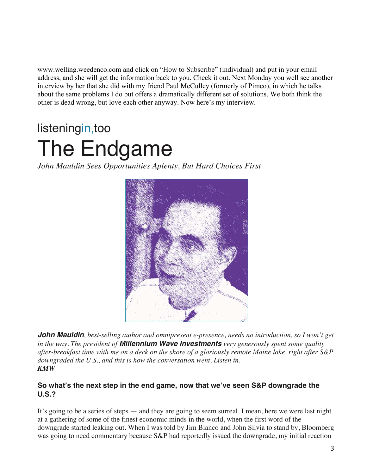www.welling.weedenco.com and click on "How to Subscribe" (individual) and put in your email address, and she will get the information back to you. Check it out. Next Monday you well see another interview by her that she did with my friend Paul McCulley (formerly of Pimco), in which he talks about the same problems I do but offers a dramatically different set of solutions. We both think the other is dead wrong, but love each other anyway. Now here's my interview.

# listeningin,too The Endgame

*John Mauldin Sees Opportunities Aplenty, But Hard Choices First*



*John Mauldin, best-selling author and omnipresent e-presence, needs no introduction, so I won't get in the way. The president of Millennium Wave Investments very generously spent some quality after-breakfast time with me on a deck on the shore of a gloriously remote Maine lake, right after S&P downgraded the U.S., and this is how the conversation went. Listen in. KMW*

# **So what's the next step in the end game, now that we've seen S&P downgrade the U.S.?**

It's going to be a series of steps — and they are going to seem surreal. I mean, here we were last night at a gathering of some of the finest economic minds in the world, when the first word of the downgrade started leaking out. When I was told by Jim Bianco and John Silvia to stand by, Bloomberg was going to need commentary because S&P had reportedly issued the downgrade, my initial reaction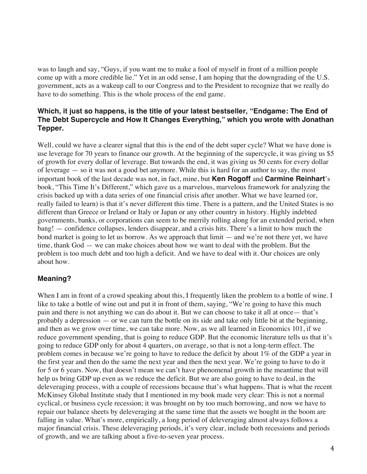was to laugh and say, "Guys, if you want me to make a fool of myself in front of a million people come up with a more credible lie." Yet in an odd sense, I am hoping that the downgrading of the U.S. government, acts as a wakeup call to our Congress and to the President to recognize that we really do have to do something. This is the whole process of the end game.

#### **Which, it just so happens, is the title of your latest bestseller, "Endgame: The End of The Debt Supercycle and How It Changes Everything," which you wrote with Jonathan Tepper.**

Well, could we have a clearer signal that this is the end of the debt super cycle? What we have done is use leverage for 70 years to finance our growth. At the beginning of the supercycle, it was giving us \$5 of growth for every dollar of leverage. But towards the end, it was giving us 50 cents for every dollar of leverage — so it was not a good bet anymore. While this is hard for an author to say, the most important book of the last decade was not, in fact, mine, but **Ken Rogoff** and **Carmine Reinhart**'s book, "This Time It's Different," which gave us a marvelous, marvelous framework for analyzing the crisis backed up with a data series of one financial crisis after another. What we have learned (or, really failed to learn) is that it's never different this time. There is a pattern, and the United States is no different than Greece or Ireland or Italy or Japan or any other country in history. Highly indebted governments, banks, or corporations can seem to be merrily rolling along for an extended period, when bang! — confidence collapses, lenders disappear, and a crisis hits. There's a limit to how much the bond market is going to let us borrow. As we approach that limit — and we're not there yet, we have time, thank God — we can make choices about how we want to deal with the problem. But the problem is too much debt and too high a deficit. And we have to deal with it. Our choices are only about how.

# **Meaning?**

When I am in front of a crowd speaking about this, I frequently liken the problem to a bottle of wine. I like to take a bottle of wine out and put it in front of them, saying, "We're going to have this much pain and there is not anything we can do about it. But we can choose to take it all at once— that's probably a depression — or we can turn the bottle on its side and take only little bit at the beginning, and then as we grow over time, we can take more. Now, as we all learned in Economics 101, if we reduce government spending, that is going to reduce GDP. But the economic literature tells us that it's going to reduce GDP only for about 4 quarters, on average, so that is not a long-term effect. The problem comes in because we're going to have to reduce the deficit by about 1% of the GDP a year in the first year and then do the same the next year and then the next year. We're going to have to do it for 5 or 6 years. Now, that doesn't mean we can't have phenomenal growth in the meantime that will help us bring GDP up even as we reduce the deficit. But we are also going to have to deal, in the deleveraging process, with a couple of recessions because that's what happens. That is what the recent McKinsey Global Institute study that I mentioned in my book made very clear: This is not a normal cyclical, or business cycle recession; it was brought on by too much borrowing, and now we have to repair our balance sheets by deleveraging at the same time that the assets we bought in the boom are falling in value. What's more, empirically, a long period of deleveraging almost always follows a major financial crisis. These deleveraging periods, it's very clear, include both recessions and periods of growth, and we are talking about a five-to-seven year process.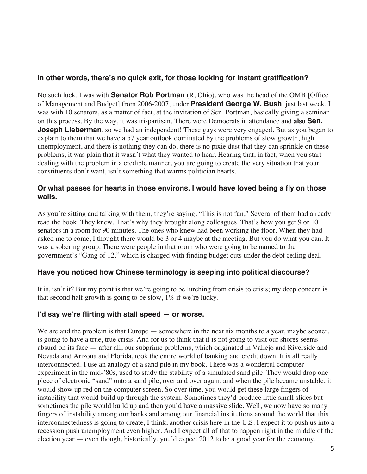#### **In other words, there's no quick exit, for those looking for instant gratification?**

No such luck. I was with **Senator Rob Portman** (R, Ohio), who was the head of the OMB [Office of Management and Budget] from 2006-2007, under **President George W. Bush**, just last week. I was with 10 senators, as a matter of fact, at the invitation of Sen. Portman, basically giving a seminar on this process. By the way, it was tri-partisan. There were Democrats in attendance and **also Sen. Joseph Lieberman**, so we had an independent! These guys were very engaged. But as you began to explain to them that we have a 57 year outlook dominated by the problems of slow growth, high unemployment, and there is nothing they can do; there is no pixie dust that they can sprinkle on these problems, it was plain that it wasn't what they wanted to hear. Hearing that, in fact, when you start dealing with the problem in a credible manner, you are going to create the very situation that your constituents don't want, isn't something that warms politician hearts.

#### **Or what passes for hearts in those environs. I would have loved being a fly on those walls.**

As you're sitting and talking with them, they're saying, "This is not fun," Several of them had already read the book. They knew. That's why they brought along colleagues. That's how you get 9 or 10 senators in a room for 90 minutes. The ones who knew had been working the floor. When they had asked me to come, I thought there would be 3 or 4 maybe at the meeting. But you do what you can. It was a sobering group. There were people in that room who were going to be named to the government's "Gang of 12," which is charged with finding budget cuts under the debt ceiling deal.

# **Have you noticed how Chinese terminology is seeping into political discourse?**

It is, isn't it? But my point is that we're going to be lurching from crisis to crisis; my deep concern is that second half growth is going to be slow, 1% if we're lucky.

# **I'd say we're flirting with stall speed — or worse.**

We are and the problem is that Europe — somewhere in the next six months to a year, maybe sooner, is going to have a true, true crisis. And for us to think that it is not going to visit our shores seems absurd on its face — after all, our subprime problems, which originated in Vallejo and Riverside and Nevada and Arizona and Florida, took the entire world of banking and credit down. It is all really interconnected. I use an analogy of a sand pile in my book. There was a wonderful computer experiment in the mid-'80s, used to study the stability of a simulated sand pile. They would drop one piece of electronic "sand" onto a sand pile, over and over again, and when the pile became unstable, it would show up red on the computer screen. So over time, you would get these large fingers of instability that would build up through the system. Sometimes they'd produce little small slides but sometimes the pile would build up and then you'd have a massive slide. Well, we now have so many fingers of instability among our banks and among our financial institutions around the world that this interconnectedness is going to create, I think, another crisis here in the U.S. I expect it to push us into a recession push unemployment even higher. And I expect all of that to happen right in the middle of the election year — even though, historically, you'd expect 2012 to be a good year for the economy,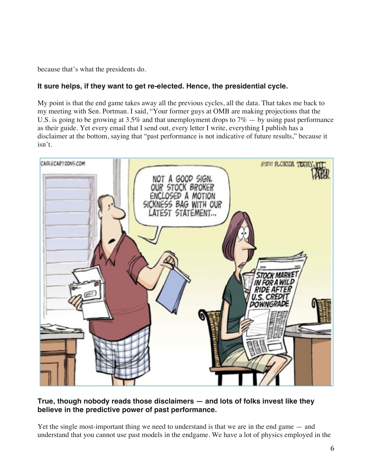because that's what the presidents do.

# **It sure helps, if they want to get re-elected. Hence, the presidential cycle.**

My point is that the end game takes away all the previous cycles, all the data. That takes me back to my meeting with Sen. Portman. I said, "Your former guys at OMB are making projections that the U.S. is going to be growing at 3.5% and that unemployment drops to  $7\%$  — by using past performance as their guide. Yet every email that I send out, every letter I write, everything I publish has a disclaimer at the bottom, saying that "past performance is not indicative of future results," because it isn't.



# **True, though nobody reads those disclaimers — and lots of folks invest like they believe in the predictive power of past performance.**

Yet the single most-important thing we need to understand is that we are in the end game — and understand that you cannot use past models in the endgame. We have a lot of physics employed in the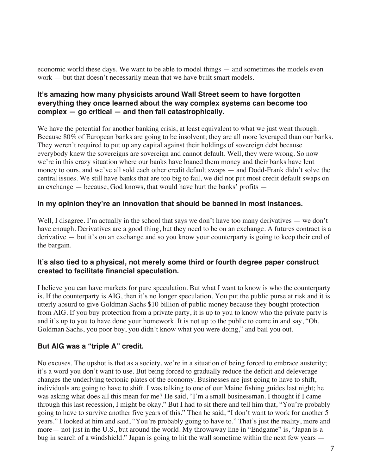economic world these days. We want to be able to model things — and sometimes the models even work — but that doesn't necessarily mean that we have built smart models.

#### **It's amazing how many physicists around Wall Street seem to have forgotten everything they once learned about the way complex systems can become too complex — go critical — and then fail catastrophically.**

We have the potential for another banking crisis, at least equivalent to what we just went through. Because 80% of European banks are going to be insolvent; they are all more leveraged than our banks. They weren't required to put up any capital against their holdings of sovereign debt because everybody knew the sovereigns are sovereign and cannot default. Well, they were wrong. So now we're in this crazy situation where our banks have loaned them money and their banks have lent money to ours, and we've all sold each other credit default swaps — and Dodd-Frank didn't solve the central issues. We still have banks that are too big to fail, we did not put most credit default swaps on an exchange — because, God knows, that would have hurt the banks' profits —

# **In my opinion they're an innovation that should be banned in most instances.**

Well, I disagree. I'm actually in the school that says we don't have too many derivatives — we don't have enough. Derivatives are a good thing, but they need to be on an exchange. A futures contract is a derivative — but it's on an exchange and so you know your counterparty is going to keep their end of the bargain.

#### **It's also tied to a physical, not merely some third or fourth degree paper construct created to facilitate financial speculation.**

I believe you can have markets for pure speculation. But what I want to know is who the counterparty is. If the counterparty is AIG, then it's no longer speculation. You put the public purse at risk and it is utterly absurd to give Goldman Sachs \$10 billion of public money because they bought protection from AIG. If you buy protection from a private party, it is up to you to know who the private party is and it's up to you to have done your homework. It is not up to the public to come in and say, "Oh, Goldman Sachs, you poor boy, you didn't know what you were doing," and bail you out.

# **But AIG was a "triple A" credit.**

No excuses. The upshot is that as a society, we're in a situation of being forced to embrace austerity; it's a word you don't want to use. But being forced to gradually reduce the deficit and deleverage changes the underlying tectonic plates of the economy. Businesses are just going to have to shift, individuals are going to have to shift. I was talking to one of our Maine fishing guides last night; he was asking what does all this mean for me? He said, "I'm a small businessman. I thought if I came through this last recession, I might be okay." But I had to sit there and tell him that, "You're probably going to have to survive another five years of this." Then he said, "I don't want to work for another 5 years." I looked at him and said, "You're probably going to have to." That's just the reality, more and more— not just in the U.S., but around the world. My throwaway line in "Endgame" is, "Japan is a bug in search of a windshield." Japan is going to hit the wall sometime within the next few years —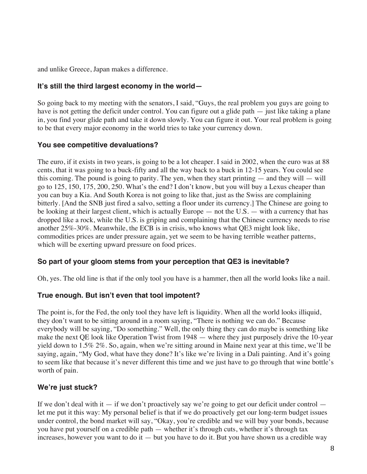and unlike Greece, Japan makes a difference.

#### **It's still the third largest economy in the world—**

So going back to my meeting with the senators, I said, "Guys, the real problem you guys are going to have is not getting the deficit under control. You can figure out a glide path — just like taking a plane in, you find your glide path and take it down slowly. You can figure it out. Your real problem is going to be that every major economy in the world tries to take your currency down.

#### **You see competitive devaluations?**

The euro, if it exists in two years, is going to be a lot cheaper. I said in 2002, when the euro was at 88 cents, that it was going to a buck-fifty and all the way back to a buck in 12-15 years. You could see this coming. The pound is going to parity. The yen, when they start printing — and they will — will go to 125, 150, 175, 200, 250. What's the end? I don't know, but you will buy a Lexus cheaper than you can buy a Kia. And South Korea is not going to like that, just as the Swiss are complaining bitterly. [And the SNB just fired a salvo, setting a floor under its currency.] The Chinese are going to be looking at their largest client, which is actually Europe — not the U.S. — with a currency that has dropped like a rock, while the U.S. is griping and complaining that the Chinese currency needs to rise another 25%-30%. Meanwhile, the ECB is in crisis, who knows what QE3 might look like, commodities prices are under pressure again, yet we seem to be having terrible weather patterns, which will be exerting upward pressure on food prices.

# **So part of your gloom stems from your perception that QE3 is inevitable?**

Oh, yes. The old line is that if the only tool you have is a hammer, then all the world looks like a nail.

# **True enough. But isn't even that tool impotent?**

The point is, for the Fed, the only tool they have left is liquidity. When all the world looks illiquid, they don't want to be sitting around in a room saying, "There is nothing we can do." Because everybody will be saying, "Do something." Well, the only thing they can do maybe is something like make the next QE look like Operation Twist from 1948 — where they just purposely drive the 10-year yield down to 1.5% 2%. So, again, when we're sitting around in Maine next year at this time, we'll be saying, again, "My God, what have they done? It's like we're living in a Dali painting. And it's going to seem like that because it's never different this time and we just have to go through that wine bottle's worth of pain.

# **We're just stuck?**

If we don't deal with it  $-$  if we don't proactively say we're going to get our deficit under control  $$ let me put it this way: My personal belief is that if we do proactively get our long-term budget issues under control, the bond market will say, "Okay, you're credible and we will buy your bonds, because you have put yourself on a credible path — whether it's through cuts, whether it's through tax increases, however you want to do it  $-$  but you have to do it. But you have shown us a credible way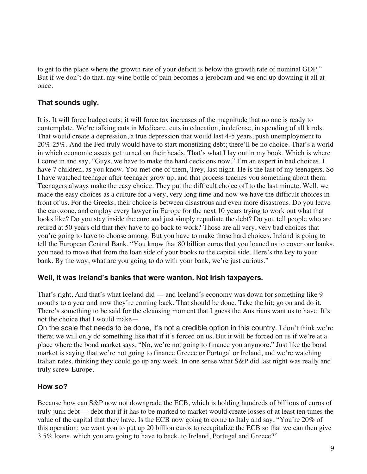to get to the place where the growth rate of your deficit is below the growth rate of nominal GDP." But if we don't do that, my wine bottle of pain becomes a jeroboam and we end up downing it all at once.

# **That sounds ugly.**

It is. It will force budget cuts; it will force tax increases of the magnitude that no one is ready to contemplate. We're talking cuts in Medicare, cuts in education, in defense, in spending of all kinds. That would create a depression, a true depression that would last 4-5 years, push unemployment to 20% 25%. And the Fed truly would have to start monetizing debt; there'll be no choice. That's a world in which economic assets get turned on their heads. That's what I lay out in my book. Which is where I come in and say, "Guys, we have to make the hard decisions now." I'm an expert in bad choices. I have 7 children, as you know. You met one of them, Trey, last night. He is the last of my teenagers. So I have watched teenager after teenager grow up, and that process teaches you something about them: Teenagers always make the easy choice. They put the difficult choice off to the last minute. Well, we made the easy choices as a culture for a very, very long time and now we have the difficult choices in front of us. For the Greeks, their choice is between disastrous and even more disastrous. Do you leave the eurozone, and employ every lawyer in Europe for the next 10 years trying to work out what that looks like? Do you stay inside the euro and just simply repudiate the debt? Do you tell people who are retired at 50 years old that they have to go back to work? Those are all very, very bad choices that you're going to have to choose among. But you have to make those hard choices. Ireland is going to tell the European Central Bank, "You know that 80 billion euros that you loaned us to cover our banks, you need to move that from the loan side of your books to the capital side. Here's the key to your bank. By the way, what are you going to do with your bank, we're just curious."

#### **Well, it was Ireland's banks that were wanton. Not Irish taxpayers.**

That's right. And that's what Iceland did — and Iceland's economy was down for something like 9 months to a year and now they're coming back. That should be done. Take the hit; go on and do it. There's something to be said for the cleansing moment that I guess the Austrians want us to have. It's not the choice that I would make—

On the scale that needs to be done, it's not a credible option in this country. I don't think we're there; we will only do something like that if it's forced on us. But it will be forced on us if we're at a place where the bond market says, "No, we're not going to finance you anymore." Just like the bond market is saying that we're not going to finance Greece or Portugal or Ireland, and we're watching Italian rates, thinking they could go up any week. In one sense what S&P did last night was really and truly screw Europe.

# **How so?**

Because how can S&P now not downgrade the ECB, which is holding hundreds of billions of euros of truly junk debt — debt that if it has to be marked to market would create losses of at least ten times the value of the capital that they have. Is the ECB now going to come to Italy and say, "You're 20% of this operation; we want you to put up 20 billion euros to recapitalize the ECB so that we can then give 3.5% loans, which you are going to have to back, to Ireland, Portugal and Greece?"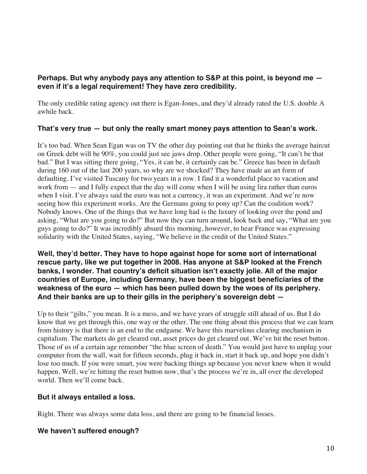# **Perhaps. But why anybody pays any attention to S&P at this point, is beyond me even if it's a legal requirement! They have zero credibility.**

The only credible rating agency out there is Egan-Jones, and they'd already rated the U.S. double A awhile back.

# **That's very true — but only the really smart money pays attention to Sean's work.**

It's too bad. When Sean Egan was on TV the other day pointing out that he thinks the average haircut on Greek debt will be 90%, you could just see jaws drop. Other people were going, "It can't be that bad." But I was sitting there going, "Yes, it can be, it certainly can be." Greece has been in default during 160 out of the last 200 years, so why are we shocked? They have made an art form of defaulting. I've visited Tuscany for two years in a row. I find it a wonderful place to vacation and work from  $-$  and I fully expect that the day will come when I will be using lira rather than euros when I visit. I've always said the euro was not a currency, it was an experiment. And we're now seeing how this experiment works. Are the Germans going to pony up? Can the coalition work? Nobody knows. One of the things that we have long had is the luxury of looking over the pond and asking, "What are you going to do?" But now they can turn around, look back and say, "What are you guys going to do?" It was incredibly absurd this morning, however, to hear France was expressing solidarity with the United States, saying, "We believe in the credit of the United States."

**Well, they'd better. They have to hope against hope for some sort of international rescue party, like we put together in 2008. Has anyone at S&P looked at the French banks, I wonder. That country's deficit situation isn't exactly jolie. All of the major countries of Europe, including Germany, have been the biggest beneficiaries of the weakness of the euro — which has been pulled down by the woes of its periphery. And their banks are up to their gills in the periphery's sovereign debt —**

Up to their "gilts," you mean. It is a mess, and we have years of struggle still ahead of us. But I do know that we get through this, one way or the other. The one thing about this process that we can learn from history is that there is an end to the endgame. We have this marvelous clearing mechanism in capitalism. The markets do get cleared out, asset prices do get cleared out. We've hit the reset button. Those of us of a certain age remember "the blue screen of death." You would just have to unplug your computer from the wall, wait for fifteen seconds, plug it back in, start it back up, and hope you didn't lose too much. If you were smart, you were backing things up because you never knew when it would happen. Well, we're hitting the reset button now, that's the process we're in, all over the developed world. Then we'll come back.

#### **But it always entailed a loss.**

Right. There was always some data loss, and there are going to be financial losses.

# **We haven't suffered enough?**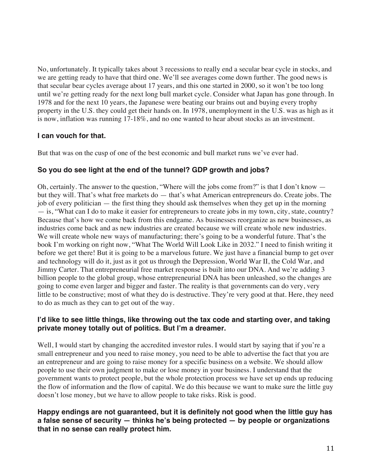No, unfortunately. It typically takes about 3 recessions to really end a secular bear cycle in stocks, and we are getting ready to have that third one. We'll see averages come down further. The good news is that secular bear cycles average about 17 years, and this one started in 2000, so it won't be too long until we're getting ready for the next long bull market cycle. Consider what Japan has gone through. In 1978 and for the next 10 years, the Japanese were beating our brains out and buying every trophy property in the U.S. they could get their hands on. In 1978, unemployment in the U.S. was as high as it is now, inflation was running 17-18%, and no one wanted to hear about stocks as an investment.

# **I can vouch for that.**

But that was on the cusp of one of the best economic and bull market runs we've ever had.

# **So you do see light at the end of the tunnel? GDP growth and jobs?**

Oh, certainly. The answer to the question, "Where will the jobs come from?" is that I don't know but they will. That's what free markets do — that's what American entrepreneurs do. Create jobs. The job of every politician — the first thing they should ask themselves when they get up in the morning — is, "What can I do to make it easier for entrepreneurs to create jobs in my town, city, state, country? Because that's how we come back from this endgame. As businesses reorganize as new businesses, as industries come back and as new industries are created because we will create whole new industries. We will create whole new ways of manufacturing; there's going to be a wonderful future. That's the book I'm working on right now, "What The World Will Look Like in 2032." I need to finish writing it before we get there! But it is going to be a marvelous future. We just have a financial bump to get over and technology will do it, just as it got us through the Depression, World War II, the Cold War, and Jimmy Carter. That entrepreneurial free market response is built into our DNA. And we're adding 3 billion people to the global group, whose entrepreneurial DNA has been unleashed, so the changes are going to come even larger and bigger and faster. The reality is that governments can do very, very little to be constructive; most of what they do is destructive. They're very good at that. Here, they need to do as much as they can to get out of the way.

# **I'd like to see little things, like throwing out the tax code and starting over, and taking private money totally out of politics. But I'm a dreamer.**

Well, I would start by changing the accredited investor rules. I would start by saying that if you're a small entrepreneur and you need to raise money, you need to be able to advertise the fact that you are an entrepreneur and are going to raise money for a specific business on a website. We should allow people to use their own judgment to make or lose money in your business. I understand that the government wants to protect people, but the whole protection process we have set up ends up reducing the flow of information and the flow of capital. We do this because we want to make sure the little guy doesn't lose money, but we have to allow people to take risks. Risk is good.

# **Happy endings are not guaranteed, but it is definitely not good when the little guy has a false sense of security — thinks he's being protected — by people or organizations that in no sense can really protect him.**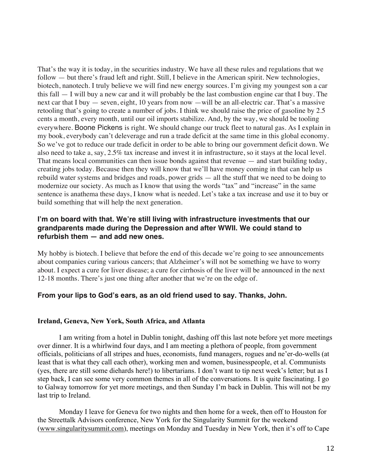That's the way it is today, in the securities industry. We have all these rules and regulations that we follow — but there's fraud left and right. Still, I believe in the American spirit. New technologies, biotech, nanotech. I truly believe we will find new energy sources. I'm giving my youngest son a car this fall — I will buy a new car and it will probably be the last combustion engine car that I buy. The next car that I buy — seven, eight, 10 years from now —will be an all-electric car. That's a massive retooling that's going to create a number of jobs. I think we should raise the price of gasoline by 2.5 cents a month, every month, until our oil imports stabilize. And, by the way, we should be tooling everywhere. Boone Pickens is right. We should change our truck fleet to natural gas. As I explain in my book, everybody can't deleverage and run a trade deficit at the same time in this global economy. So we've got to reduce our trade deficit in order to be able to bring our government deficit down. We also need to take a, say, 2.5% tax increase and invest it in infrastructure, so it stays at the local level. That means local communities can then issue bonds against that revenue — and start building today, creating jobs today. Because then they will know that we'll have money coming in that can help us rebuild water systems and bridges and roads, power grids — all the stuff that we need to be doing to modernize our society. As much as I know that using the words "tax" and "increase" in the same sentence is anathema these days, I know what is needed. Let's take a tax increase and use it to buy or build something that will help the next generation.

#### **I'm on board with that. We're still living with infrastructure investments that our grandparents made during the Depression and after WWII. We could stand to refurbish them — and add new ones.**

My hobby is biotech. I believe that before the end of this decade we're going to see announcements about companies curing various cancers; that Alzheimer's will not be something we have to worry about. I expect a cure for liver disease; a cure for cirrhosis of the liver will be announced in the next 12-18 months. There's just one thing after another that we're on the edge of.

#### **From your lips to God's ears, as an old friend used to say. Thanks, John.**

#### **Ireland, Geneva, New York, South Africa, and Atlanta**

I am writing from a hotel in Dublin tonight, dashing off this last note before yet more meetings over dinner. It is a whirlwind four days, and I am meeting a plethora of people, from government officials, politicians of all stripes and hues, economists, fund managers, rogues and ne'er-do-wells (at least that is what they call each other), working men and women, businesspeople, et al. Communists (yes, there are still some diehards here!) to libertarians. I don't want to tip next week's letter; but as I step back, I can see some very common themes in all of the conversations. It is quite fascinating. I go to Galway tomorrow for yet more meetings, and then Sunday I'm back in Dublin. This will not be my last trip to Ireland.

Monday I leave for Geneva for two nights and then home for a week, then off to Houston for the Streettalk Advisors conference, New York for the Singularity Summit for the weekend (www.singularitysummit.com), meetings on Monday and Tuesday in New York, then it's off to Cape